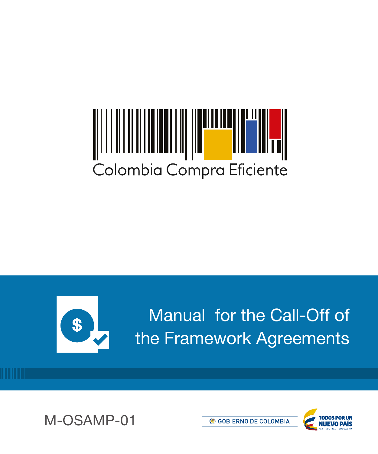# ▊▎▎▏▏▌▊▏▎▊▎▊▎▎▌▊▌▊▊▌▌▌▌▌▌▌▌▌▌<br>▊▎▎▏▏▏▊▌▏▊▌▐▏▊▎▏▌▊▌▌▊▌▌▌▊▌▏▏▊▌▏▏▏ Colombia Compra Eficiente



Manual for the Call-Off of the Framework Agreements





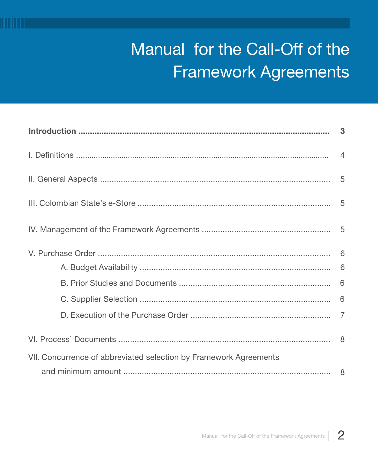## Manual for the Call-Off of the **Framework Agreements**

| VII. Concurrence of abbreviated selection by Framework Agreements |  |  |
|-------------------------------------------------------------------|--|--|
|                                                                   |  |  |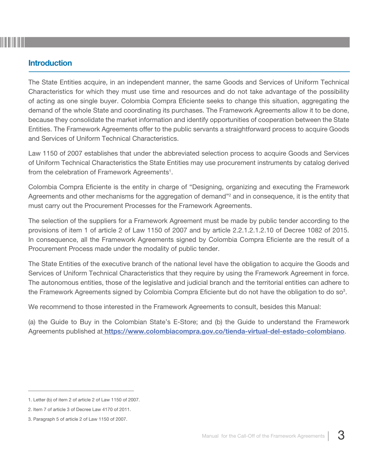#### Introduction

The State Entities acquire, in an independent manner, the same Goods and Services of Uniform Technical Characteristics for which they must use time and resources and do not take advantage of the possibility of acting as one single buyer. Colombia Compra Eficiente seeks to change this situation, aggregating the demand of the whole State and coordinating its purchases. The Framework Agreements allow it to be done, because they consolidate the market information and identify opportunities of cooperation between the State Entities. The Framework Agreements offer to the public servants a straightforward process to acquire Goods and Services of Uniform Technical Characteristics.

Law 1150 of 2007 establishes that under the abbreviated selection process to acquire Goods and Services of Uniform Technical Characteristics the State Entities may use procurement instruments by catalog derived from the celebration of Framework Agreements<sup>1</sup>.

Colombia Compra Eficiente is the entity in charge of "Designing, organizing and executing the Framework Agreements and other mechanisms for the aggregation of demand"<sup>2</sup> and in consequence, it is the entity that must carry out the Procurement Processes for the Framework Agreements.

The selection of the suppliers for a Framework Agreement must be made by public tender according to the provisions of item 1 of article 2 of Law 1150 of 2007 and by article 2.2.1.2.1.2.10 of Decree 1082 of 2015. In consequence, all the Framework Agreements signed by Colombia Compra Eficiente are the result of a Procurement Process made under the modality of public tender.

The State Entities of the executive branch of the national level have the obligation to acquire the Goods and Services of Uniform Technical Characteristics that they require by using the Framework Agreement in force. The autonomous entities, those of the legislative and judicial branch and the territorial entities can adhere to the Framework Agreements signed by Colombia Compra Eficiente but do not have the obligation to do so $^3$ .

We recommend to those interested in the Framework Agreements to consult, besides this Manual:

(a) the Guide to Buy in the Colombian State's E-Store; and (b) the Guide to understand the Framework Agreements published at https://www.colombiacompra.gov.co/tienda-virtual-del-estado-colombiano.

<sup>1.</sup> Letter (b) of item 2 of article 2 of Law 1150 of 2007.

<sup>2.</sup> Item 7 of article 3 of Decree Law 4170 of 2011.

<sup>3.</sup> Paragraph 5 of article 2 of Law 1150 of 2007.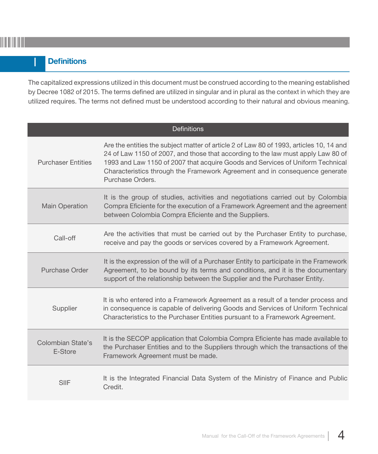

#### **Definitions**

The capitalized expressions utilized in this document must be construed according to the meaning established by Decree 1082 of 2015. The terms defined are utilized in singular and in plural as the context in which they are utilized requires. The terms not defined must be understood according to their natural and obvious meaning.

| <b>Definitions</b>                  |                                                                                                                                                                                                                                                                                                                                                                  |  |
|-------------------------------------|------------------------------------------------------------------------------------------------------------------------------------------------------------------------------------------------------------------------------------------------------------------------------------------------------------------------------------------------------------------|--|
| <b>Purchaser Entities</b>           | Are the entities the subject matter of article 2 of Law 80 of 1993, articles 10, 14 and<br>24 of Law 1150 of 2007, and those that according to the law must apply Law 80 of<br>1993 and Law 1150 of 2007 that acquire Goods and Services of Uniform Technical<br>Characteristics through the Framework Agreement and in consequence generate<br>Purchase Orders. |  |
| <b>Main Operation</b>               | It is the group of studies, activities and negotiations carried out by Colombia<br>Compra Eficiente for the execution of a Framework Agreement and the agreement<br>between Colombia Compra Eficiente and the Suppliers.                                                                                                                                         |  |
| Call-off                            | Are the activities that must be carried out by the Purchaser Entity to purchase,<br>receive and pay the goods or services covered by a Framework Agreement.                                                                                                                                                                                                      |  |
| Purchase Order                      | It is the expression of the will of a Purchaser Entity to participate in the Framework<br>Agreement, to be bound by its terms and conditions, and it is the documentary<br>support of the relationship between the Supplier and the Purchaser Entity.                                                                                                            |  |
| Supplier                            | It is who entered into a Framework Agreement as a result of a tender process and<br>in consequence is capable of delivering Goods and Services of Uniform Technical<br>Characteristics to the Purchaser Entities pursuant to a Framework Agreement.                                                                                                              |  |
| <b>Colombian State's</b><br>E-Store | It is the SECOP application that Colombia Compra Eficiente has made available to<br>the Purchaser Entities and to the Suppliers through which the transactions of the<br>Framework Agreement must be made.                                                                                                                                                       |  |
| <b>SIIF</b>                         | It is the Integrated Financial Data System of the Ministry of Finance and Public<br>Credit.                                                                                                                                                                                                                                                                      |  |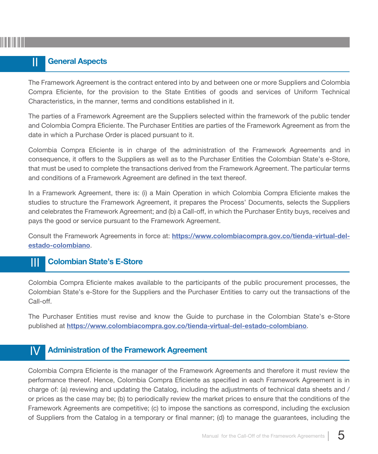#### **II** General Aspects

The Framework Agreement is the contract entered into by and between one or more Suppliers and Colombia Compra Eficiente, for the provision to the State Entities of goods and services of Uniform Technical Characteristics, in the manner, terms and conditions established in it.

The parties of a Framework Agreement are the Suppliers selected within the framework of the public tender and Colombia Compra Eficiente. The Purchaser Entities are parties of the Framework Agreement as from the date in which a Purchase Order is placed pursuant to it.

Colombia Compra Eficiente is in charge of the administration of the Framework Agreements and in consequence, it offers to the Suppliers as well as to the Purchaser Entities the Colombian State's e-Store, that must be used to complete the transactions derived from the Framework Agreement. The particular terms and conditions of a Framework Agreement are defined in the text thereof.

In a Framework Agreement, there is: (i) a Main Operation in which Colombia Compra Eficiente makes the studies to structure the Framework Agreement, it prepares the Process' Documents, selects the Suppliers and celebrates the Framework Agreement; and (b) a Call-off, in which the Purchaser Entity buys, receives and pays the good or service pursuant to the Framework Agreement.

Consult the Framework Agreements in force at: https://www.colombiacompra.gov.co/tienda-virtual-delestado-colombiano.

#### **III** Colombian State's E-Store

Colombia Compra Eficiente makes available to the participants of the public procurement processes, the Colombian State's e-Store for the Suppliers and the Purchaser Entities to carry out the transactions of the Call-off.

The Purchaser Entities must revise and know the Guide to purchase in the Colombian State's e-Store published at https://www.colombiacompra.gov.co/tienda-virtual-del-estado-colombiano.

#### IV Administration of the Framework Agreement

Colombia Compra Eficiente is the manager of the Framework Agreements and therefore it must review the performance thereof. Hence, Colombia Compra Eficiente as specified in each Framework Agreement is in charge of: (a) reviewing and updating the Catalog, including the adjustments of technical data sheets and / or prices as the case may be; (b) to periodically review the market prices to ensure that the conditions of the Framework Agreements are competitive; (c) to impose the sanctions as correspond, including the exclusion of Suppliers from the Catalog in a temporary or final manner; (d) to manage the guarantees, including the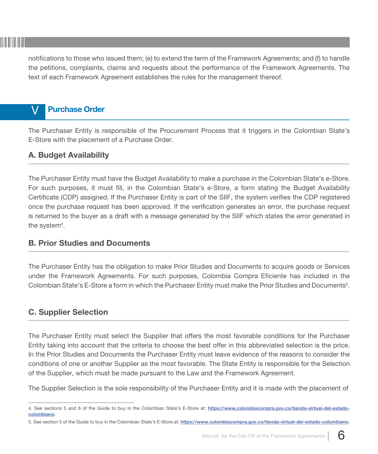notifications to those who issued them; (e) to extend the term of the Framework Agreements; and (f) to handle the petitions, complaints, claims and requests about the performance of the Framework Agreements. The text of each Framework Agreement establishes the rules for the management thereof.

### V Purchase Order

The Purchaser Entity is responsible of the Procurement Process that it triggers in the Colombian State's E-Store with the placement of a Purchase Order.

#### A. Budget Availability

The Purchaser Entity must have the Budget Availability to make a purchase in the Colombian State's e-Store. For such purposes, it must fill, in the Colombian State's e-Store, a form stating the Budget Availability Certificate (CDP) assigned. If the Purchaser Entity is part of the SIIF, the system verifies the CDP registered once the purchase request has been approved. If the verification generates an error, the purchase request is returned to the buyer as a draft with a message generated by the SIIF which states the error generated in the system $^4$ .

#### B. Prior Studies and Documents

The Purchaser Entity has the obligation to make Prior Studies and Documents to acquire goods or Services under the Framework Agreements. For such purposes, Colombia Compra Eficiente has included in the Colombian State's E-Store a form in which the Purchaser Entity must make the Prior Studies and Documents<sup>5</sup>.

#### C. Supplier Selection

The Purchaser Entity must select the Supplier that offers the most favorable conditions for the Purchaser Entity taking into account that the criteria to choose the best offer in this abbreviated selection is the price. In the Prior Studies and Documents the Purchaser Entity must leave evidence of the reasons to consider the conditions of one or another Supplier as the most favorable. The State Entity is responsible for the Selection of the Supplier, which must be made pursuant to the Law and the Framework Agreement.

The Supplier Selection is the sole responsibility of the Purchaser Entity and it is made with the placement of



<sup>4.</sup> See sections 5 and 6 of the Guide to buy in the Colombian State's E-Store at: https://www.colombiacompra.gov.co/tienda-virtual-del-estadocolombiano.

<sup>5.</sup> See section 5 of the Guide to buy in the Colombian State's E-Store at: https://www.colombiacompra.gov.co/tienda-virtual-del-estado-colombiano.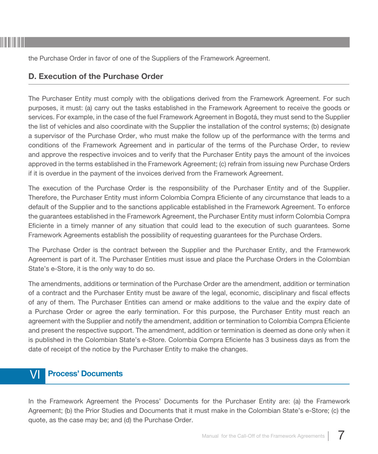the Purchase Order in favor of one of the Suppliers of the Framework Agreement.

#### D. Execution of the Purchase Order

The Purchaser Entity must comply with the obligations derived from the Framework Agreement. For such purposes, it must: (a) carry out the tasks established in the Framework Agreement to receive the goods or services. For example, in the case of the fuel Framework Agreement in Bogotá, they must send to the Supplier the list of vehicles and also coordinate with the Supplier the installation of the control systems; (b) designate a supervisor of the Purchase Order, who must make the follow up of the performance with the terms and conditions of the Framework Agreement and in particular of the terms of the Purchase Order, to review and approve the respective invoices and to verify that the Purchaser Entity pays the amount of the invoices approved in the terms established in the Framework Agreement; (c) refrain from issuing new Purchase Orders if it is overdue in the payment of the invoices derived from the Framework Agreement.

The execution of the Purchase Order is the responsibility of the Purchaser Entity and of the Supplier. Therefore, the Purchaser Entity must inform Colombia Compra Eficiente of any circumstance that leads to a default of the Supplier and to the sanctions applicable established in the Framework Agreement. To enforce the guarantees established in the Framework Agreement, the Purchaser Entity must inform Colombia Compra Eficiente in a timely manner of any situation that could lead to the execution of such guarantees. Some Framework Agreements establish the possibility of requesting guarantees for the Purchase Orders.

The Purchase Order is the contract between the Supplier and the Purchaser Entity, and the Framework Agreement is part of it. The Purchaser Entities must issue and place the Purchase Orders in the Colombian State's e-Store, it is the only way to do so.

The amendments, additions or termination of the Purchase Order are the amendment, addition or termination of a contract and the Purchaser Entity must be aware of the legal, economic, disciplinary and fiscal effects of any of them. The Purchaser Entities can amend or make additions to the value and the expiry date of a Purchase Order or agree the early termination. For this purpose, the Purchaser Entity must reach an agreement with the Supplier and notify the amendment, addition or termination to Colombia Compra Eficiente and present the respective support. The amendment, addition or termination is deemed as done only when it is published in the Colombian State's e-Store. Colombia Compra Eficiente has 3 business days as from the date of receipt of the notice by the Purchaser Entity to make the changes.

#### VI Process' Documents

In the Framework Agreement the Process' Documents for the Purchaser Entity are: (a) the Framework Agreement; (b) the Prior Studies and Documents that it must make in the Colombian State's e-Store; (c) the quote, as the case may be; and (d) the Purchase Order.